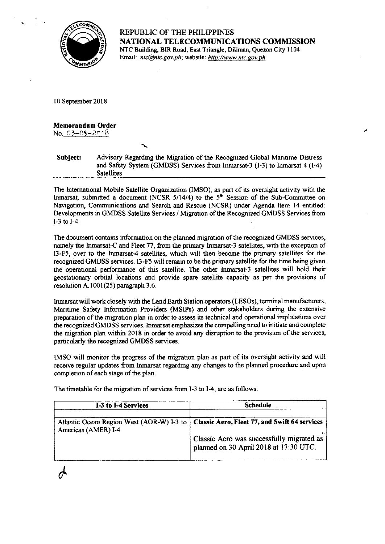

REPUBLIC OF THE PHILIPPINES NATIONAL TELECOMMUNICATIONS COMMISSION NTC Building, BIR Road, East Triangle, Diliman, Quezon City 1104 Email: ntc@ntc.gov.ph; website: http://www.ntc.gov.ph

<sup>I</sup>0 September 20 I 8

Memorandum 0rder No.  $03 - 09 - 2018$ 

 $\phi$ 

Subject: Advisory Regarding the Migration of the Recognized Global Mantime Distress and Safety System (GMDSS) Services from Inmarsat-3  $(I-3)$  to Inmarsat-4  $(I-4)$ Satellites

The International Mobile Satellite Organization (IMSO), as part of its oversight activity with the lnmarsat, submitted a document (NCSR  $5/14/4$ ) to the  $5<sup>th</sup>$  Session of the Sub-Committee on Navigation, Communications and Search and Rescue (NCSR) under Agenda ltem 14 entitled: Developments in GMDSS Satellite Services / Migration of the Recognized GMDSS Services from  $l-3$  to  $l-4$ .

The document contains information on the planned migration of the recognized GMDSS services, namely the Inmarsat-C and Fleet 77, from the primary Inmarsat-3 satellites, with the exception of I3-F5, over to the Inmarsat-4 satellites, which will then become the primary satellites for the recognized GMDSS services. I3-F5 will remain to be the primary satellite for the time being given the operational performance of this satellite. The other tnmarsat-3 satellites will hold their geostatlonary orbital locations and provide spare satellite capacity as per the provisions of resolution A. l00l(25) paragraph 3.6.

Inmarsat will work closely with the Land Earth Station operators (LESOs), terminal manufacturers, Mantrme Safety Inforrnation Providers (MSlPs) and other stakeholders dwing the extensive prepration of the migration plan in order to assess is technical and operational implications over the recognized GMDSS services. Inmarsat emphasizes the compelling need to initiate and complete the migration plan within 2018 in order to avoid any disruption to the provision of the services, particularly the recognized GMDSS services.

IMSO will monitor the progress of the migration plan as part of is oversight activity and will receive regular updates from Inmarsat regarding any changes to the planned procedure and upon completion of each stage of the plan.

| I-3 to I-4 Services | <b>Schedule</b>                                                                                                                                                                  |
|---------------------|----------------------------------------------------------------------------------------------------------------------------------------------------------------------------------|
| Americas (AMER) I-4 | Atlantic Ocean Region West (AOR-W) I-3 to   Classic Aero, Fleet 77, and Swift 64 services<br>Classic Aero was successfully migrated as<br>planned on 30 April 2018 at 17:30 UTC. |

The timetable for the migration of services from I-3 to I-4, are as follows: